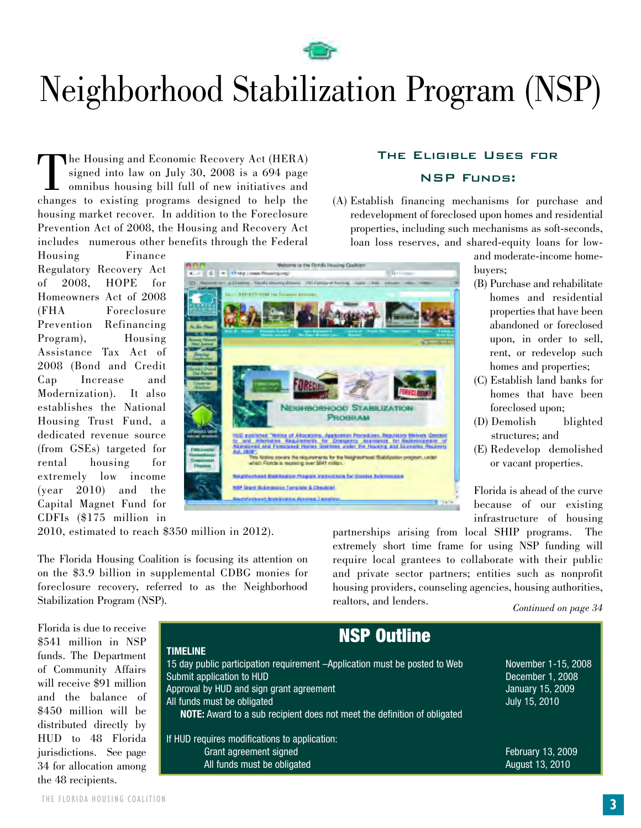

# Neighborhood Stabilization Program (NSP)

The Housing and Economic Recovery Act (HERA)<br>signed into law on July 30, 2008 is a 694 page<br>omnibus housing bill full of new initiatives and<br>changes to existing programs designed to help the signed into law on July 30, 2008 is a 694 page omnibus housing bill full of new initiatives and changes to existing programs designed to help the housing market recover. In addition to the Foreclosure Prevention Act of 2008, the Housing and Recovery Act includes numerous other benefits through the Federal

Housing Finance Regulatory Recovery Act of 2008, HOPE for Homeowners Act of 2008 (FHA Foreclosure Prevention Refinancing Program), Housing Assistance Tax Act of 2008 (Bond and Credit Cap Increase and Modernization). It also establishes the National Housing Trust Fund, a dedicated revenue source (from GSEs) targeted for rental housing for extremely low income (year 2010) and the Capital Magnet Fund for CDFIs (\$175 million in

**PROGRAM** iccheed Banitagine Program Petrustices for thunter full **NSP, Draint Skillenballon, Teamplate & Checklist Informace Association Association Constru** 

2010, estimated to reach \$350 million in 2012).

The Florida Housing Coalition is focusing its attention on on the \$3.9 billion in supplemental CDBG monies for foreclosure recovery, referred to as the Neighborhood Stabilization Program (NSP).

partnerships arising from local SHIP programs. The extremely short time frame for using NSP funding will require local grantees to collaborate with their public and private sector partners; entities such as nonprofit housing providers, counseling agencies, housing authorities, realtors, and lenders.

*Continued on page 34*

Florida is due to receive \$541 million in NSP funds. The Department of Community Affairs will receive \$91 million and the balance of \$450 million will be distributed directly by HUD to 48 Florida jurisdictions. See page 34 for allocation among the 48 recipients.

| <b>NSP Outline</b>                                                              |                     |  |
|---------------------------------------------------------------------------------|---------------------|--|
| <b>TIMELINE</b>                                                                 |                     |  |
| 15 day public participation requirement -Application must be posted to Web      | November 1-15, 2008 |  |
| Submit application to HUD                                                       | December 1, 2008    |  |
| Approval by HUD and sign grant agreement                                        | January 15, 2009    |  |
| All funds must be obligated                                                     | July 15, 2010       |  |
| <b>NOTE:</b> Award to a sub recipient does not meet the definition of obligated |                     |  |
|                                                                                 |                     |  |
| If HUD requires modifications to application:                                   |                     |  |
| Grant agreement signed                                                          | February 13, 2009   |  |
| All funds must be obligated                                                     | August 13, 2010     |  |

#### The Eligible Uses for NSP Funds:

(A) Establish financing mechanisms for purchase and redevelopment of foreclosed upon homes and residential properties, including such mechanisms as soft-seconds, loan loss reserves, and shared-equity loans for low-

> and moderate-income homebuyers;

- (B) Purchase and rehabilitate homes and residential properties that have been abandoned or foreclosed upon, in order to sell, rent, or redevelop such homes and properties;
- (C) Establish land banks for homes that have been foreclosed upon;
- (D) Demolish blighted structures; and
- (E) Redevelop demolished or vacant properties.

Florida is ahead of the curve because of our existing infrastructure of housing